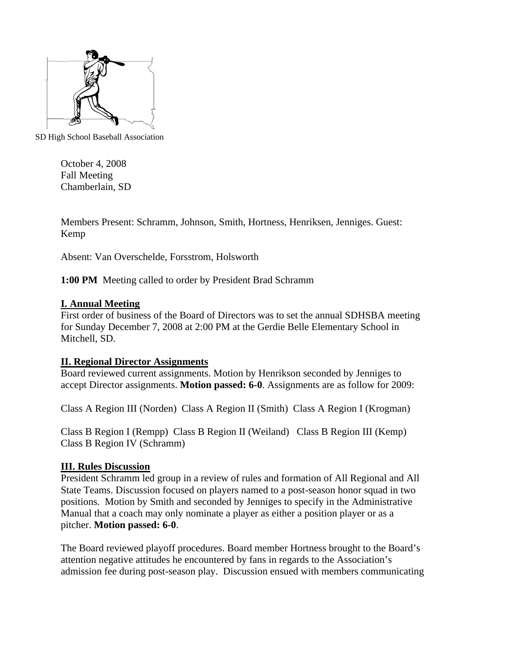

SD High School Baseball Association

October 4, 2008 Fall Meeting Chamberlain, SD

Members Present: Schramm, Johnson, Smith, Hortness, Henriksen, Jenniges. Guest: Kemp

Absent: Van Overschelde, Forsstrom, Holsworth

**1:00 PM** Meeting called to order by President Brad Schramm

# **I. Annual Meeting**

First order of business of the Board of Directors was to set the annual SDHSBA meeting for Sunday December 7, 2008 at 2:00 PM at the Gerdie Belle Elementary School in Mitchell, SD.

# **II. Regional Director Assignments**

Board reviewed current assignments. Motion by Henrikson seconded by Jenniges to accept Director assignments. **Motion passed: 6-0**. Assignments are as follow for 2009:

Class A Region III (Norden) Class A Region II (Smith) Class A Region I (Krogman)

Class B Region I (Rempp) Class B Region II (Weiland) Class B Region III (Kemp) Class B Region IV (Schramm)

# **III. Rules Discussion**

President Schramm led group in a review of rules and formation of All Regional and All State Teams. Discussion focused on players named to a post-season honor squad in two positions. Motion by Smith and seconded by Jenniges to specify in the Administrative Manual that a coach may only nominate a player as either a position player or as a pitcher. **Motion passed: 6-0**.

The Board reviewed playoff procedures. Board member Hortness brought to the Board's attention negative attitudes he encountered by fans in regards to the Association's admission fee during post-season play. Discussion ensued with members communicating